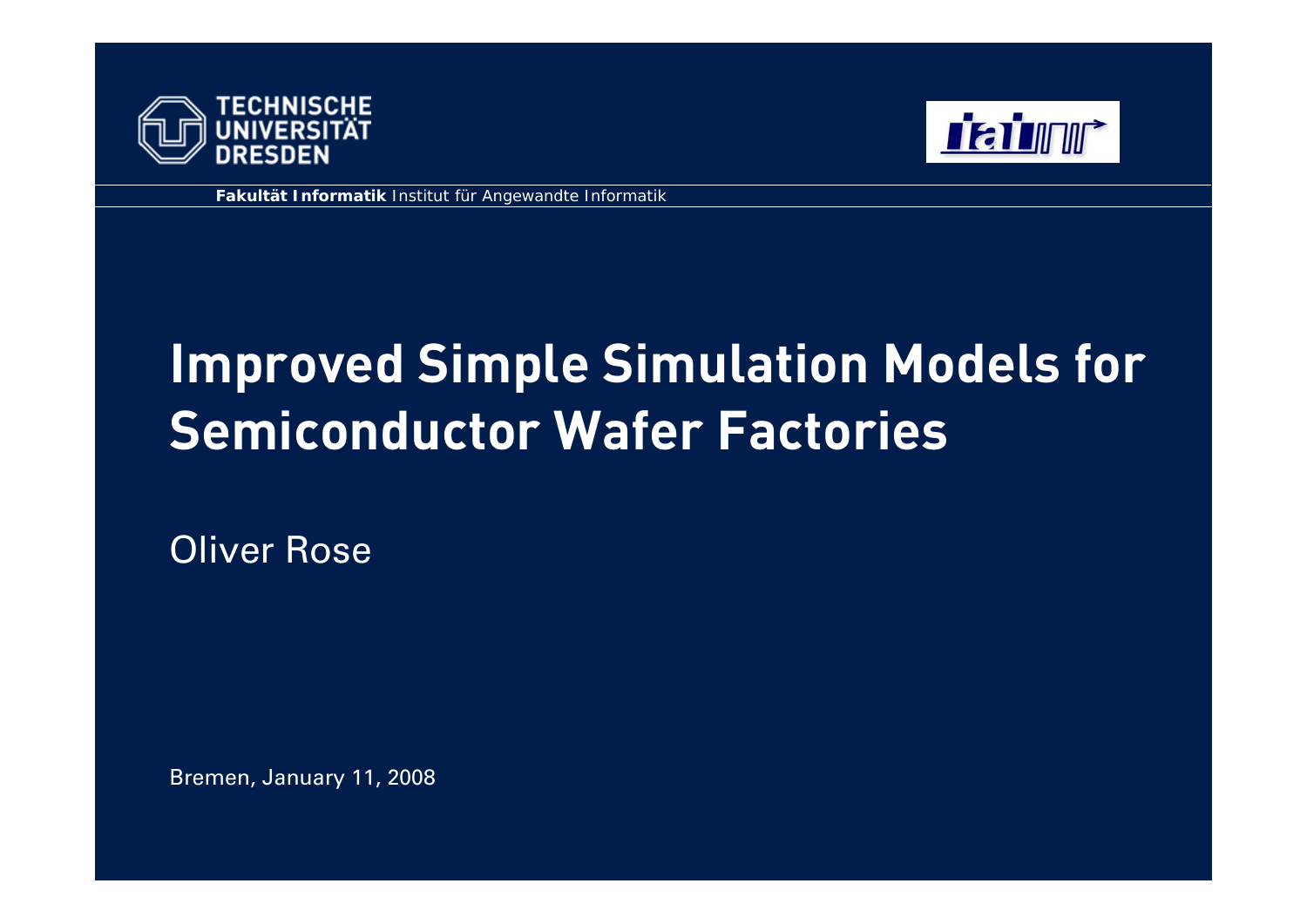



**Fakultät Informatik** Institut für Angewandte Informatik

# **Improved Simple Simulation Models for Semiconductor Wafer Factories**

Oliver Rose

Bremen, January 11, 2008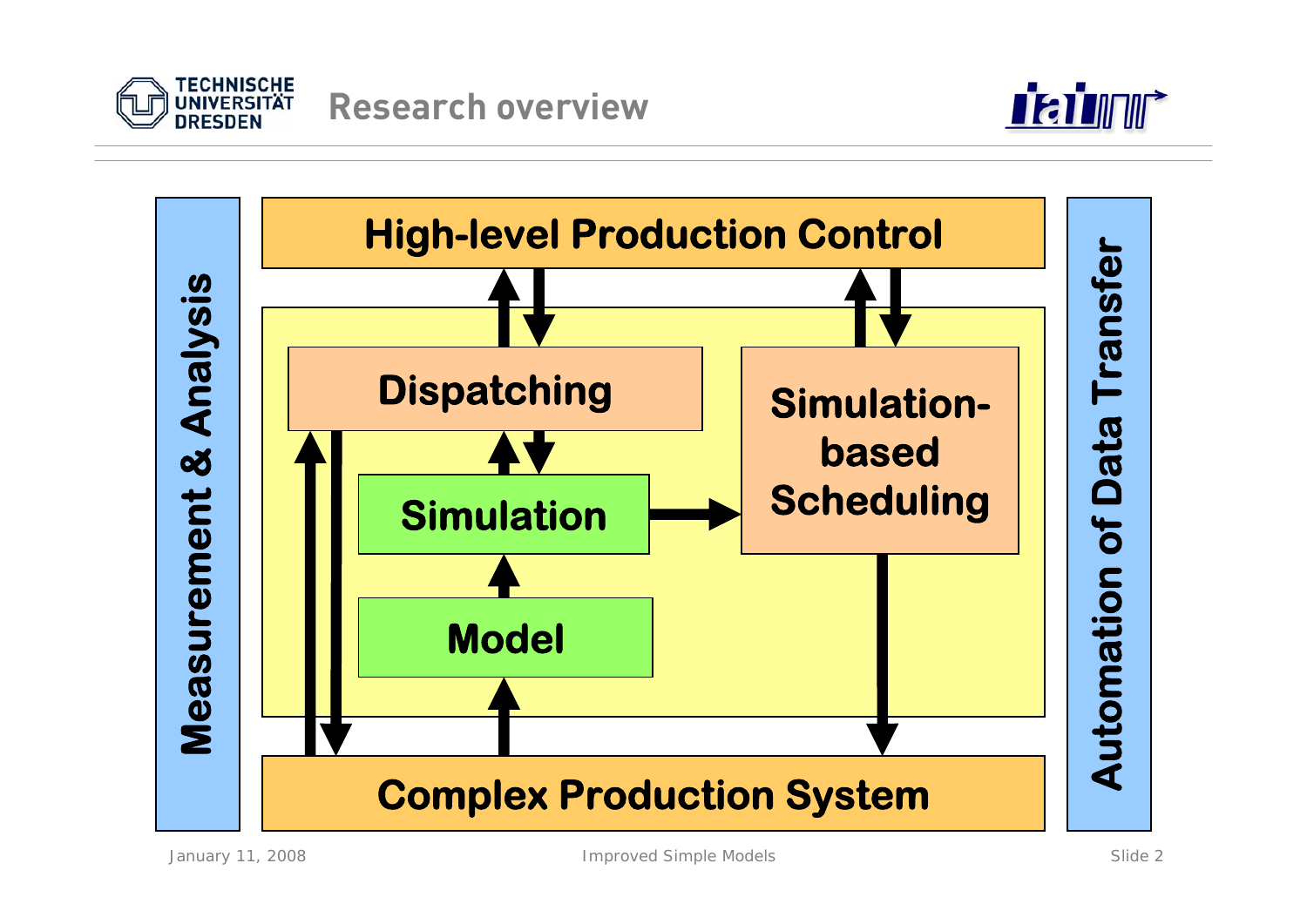



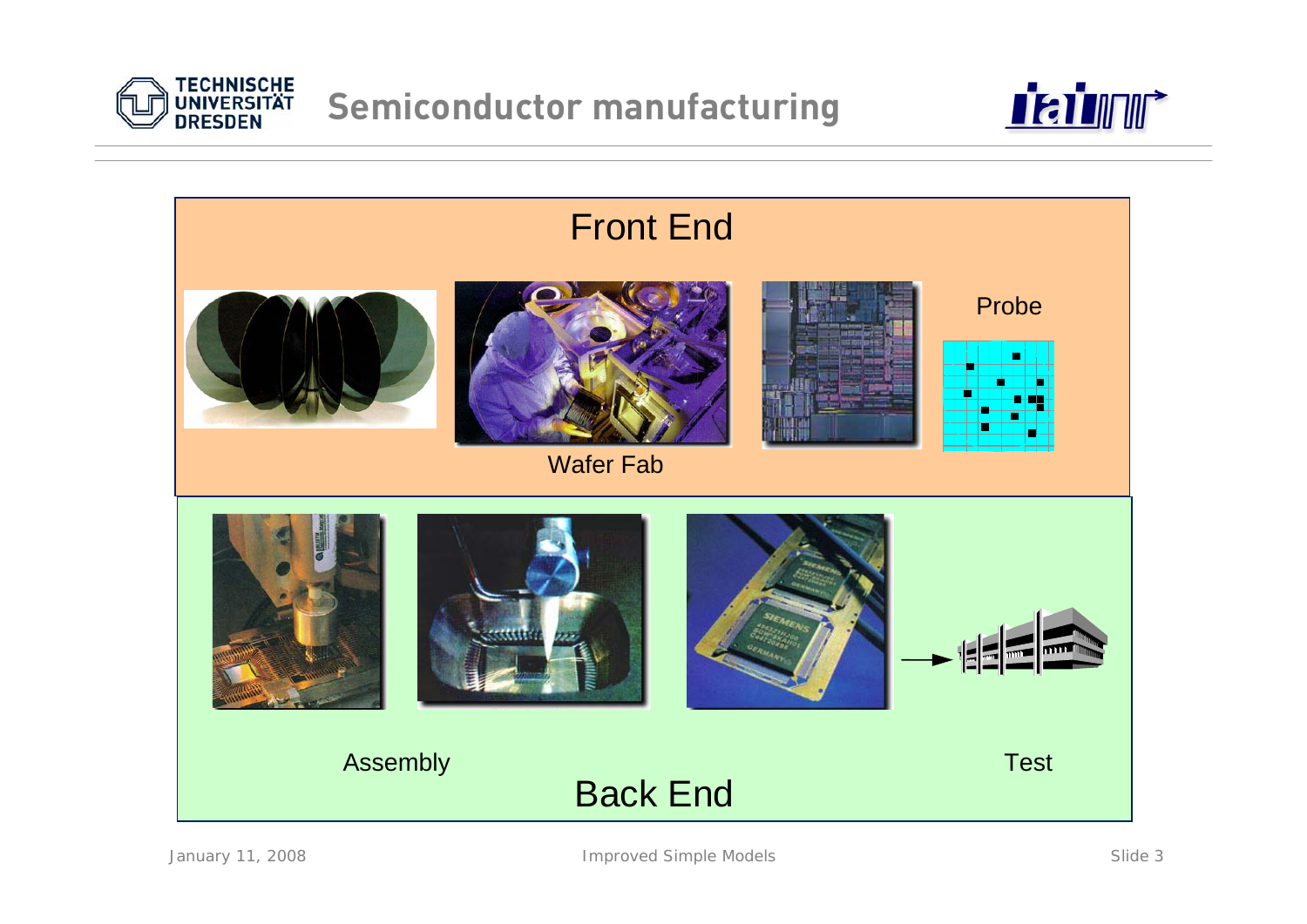





January 11, 2008 Slide 3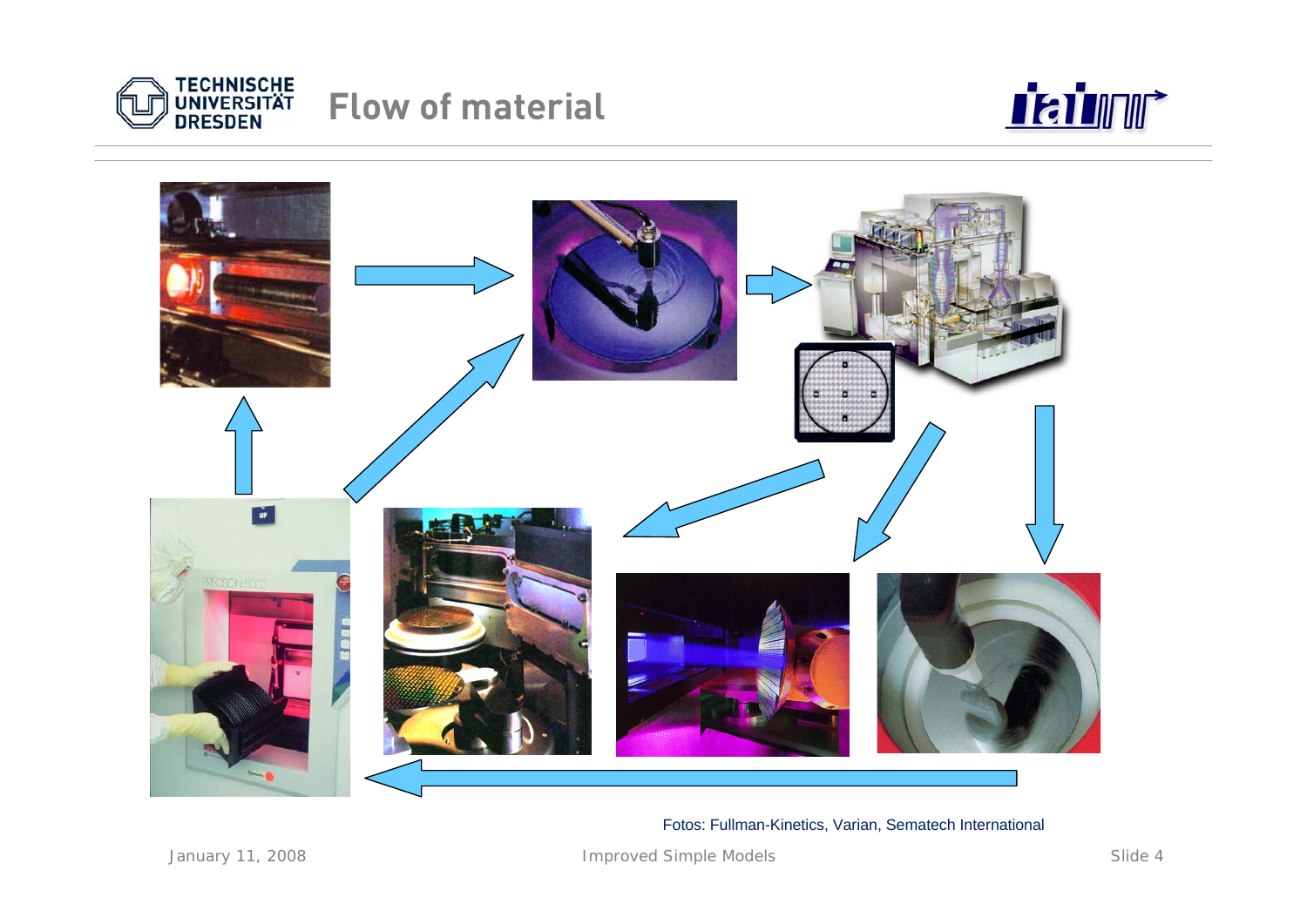

### **Flow of material**





Fotos: Fullman-Kinetics, Varian, Sematech International

January 11, 2008 Slide 4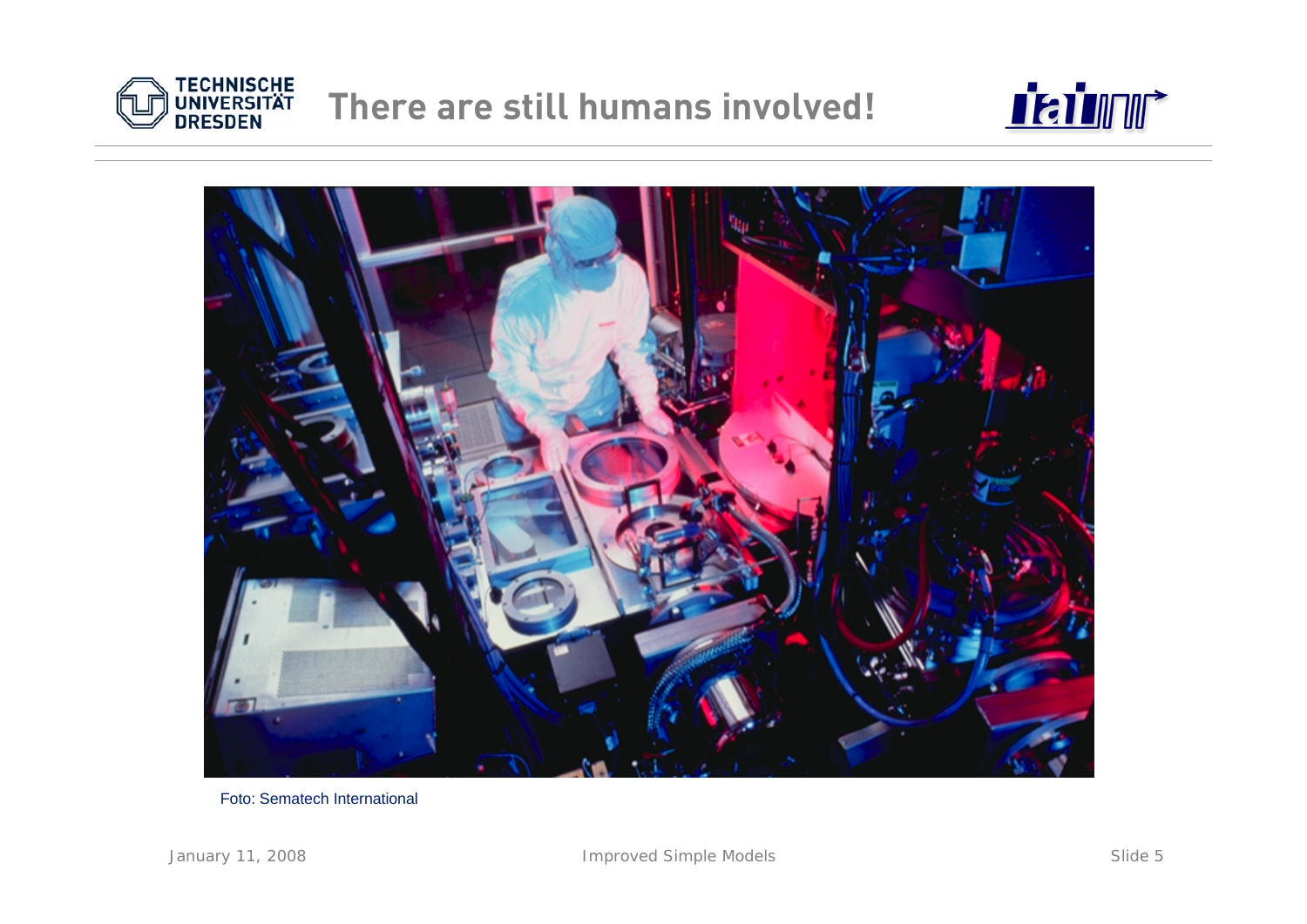





Foto: Sematech International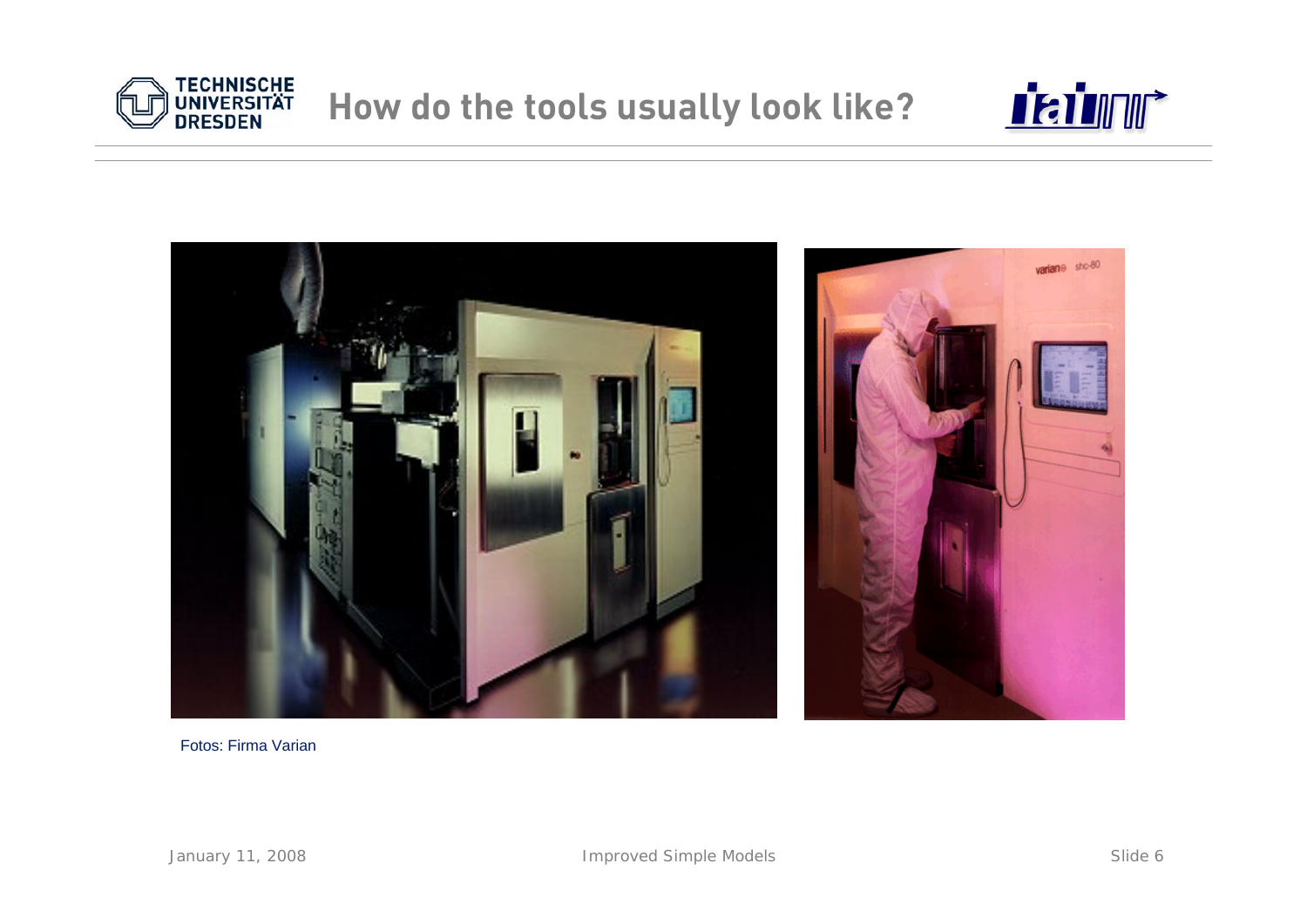





Fotos: Firma Varian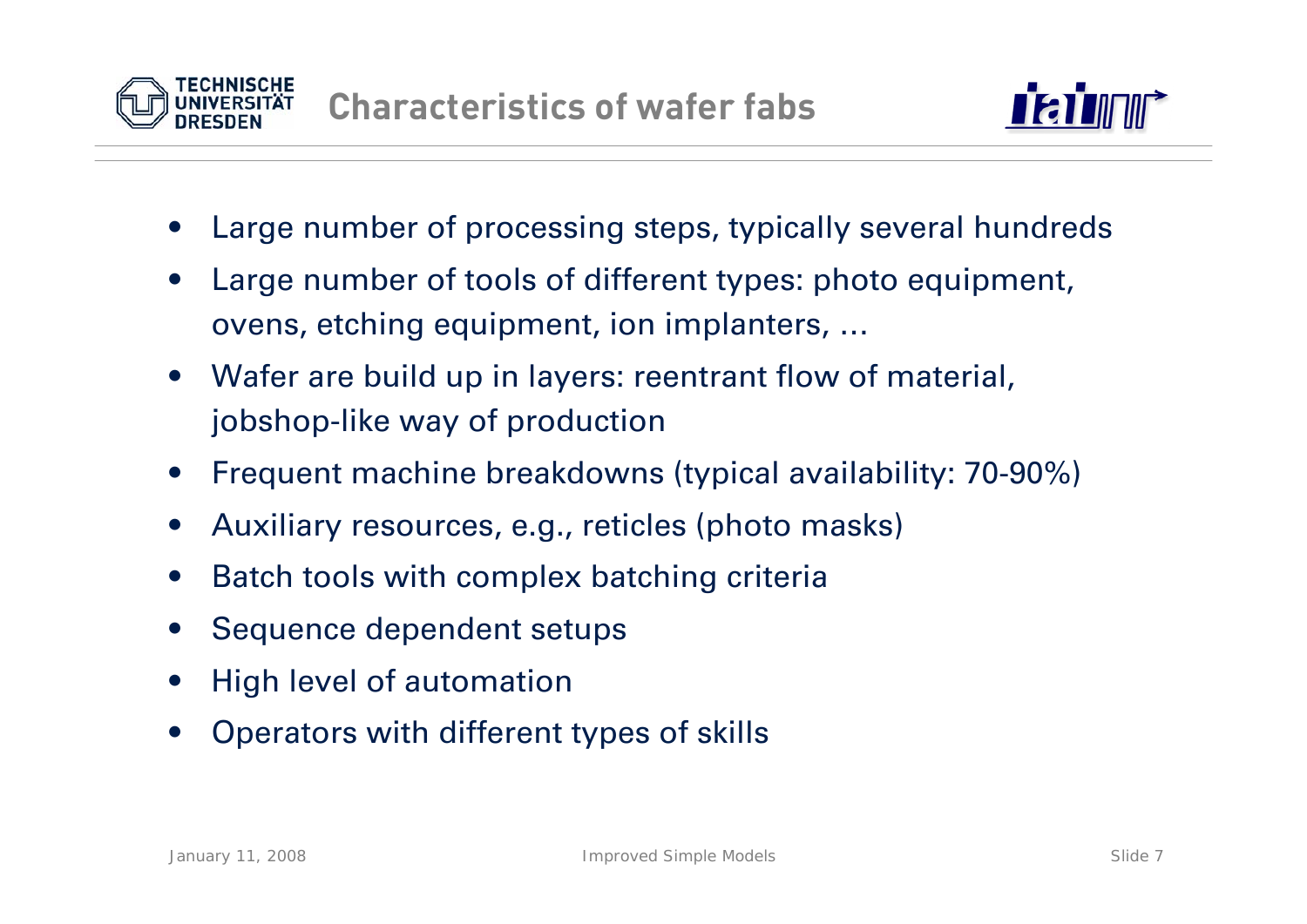



- •Large number of processing steps, typically several hundreds
- • Large number of tools of different types: photo equipment, ovens, etching equipment, ion implanters, …
- • Wafer are build up in layers: reentrant flow of material, jobshop-like way of production
- •Frequent machine breakdowns (typical availability: 70-90%)
- •Auxiliary resources, e.g., reticles (photo masks)
- •Batch tools with complex batching criteria
- •Sequence dependent setups
- •High level of automation
- •Operators with different types of skills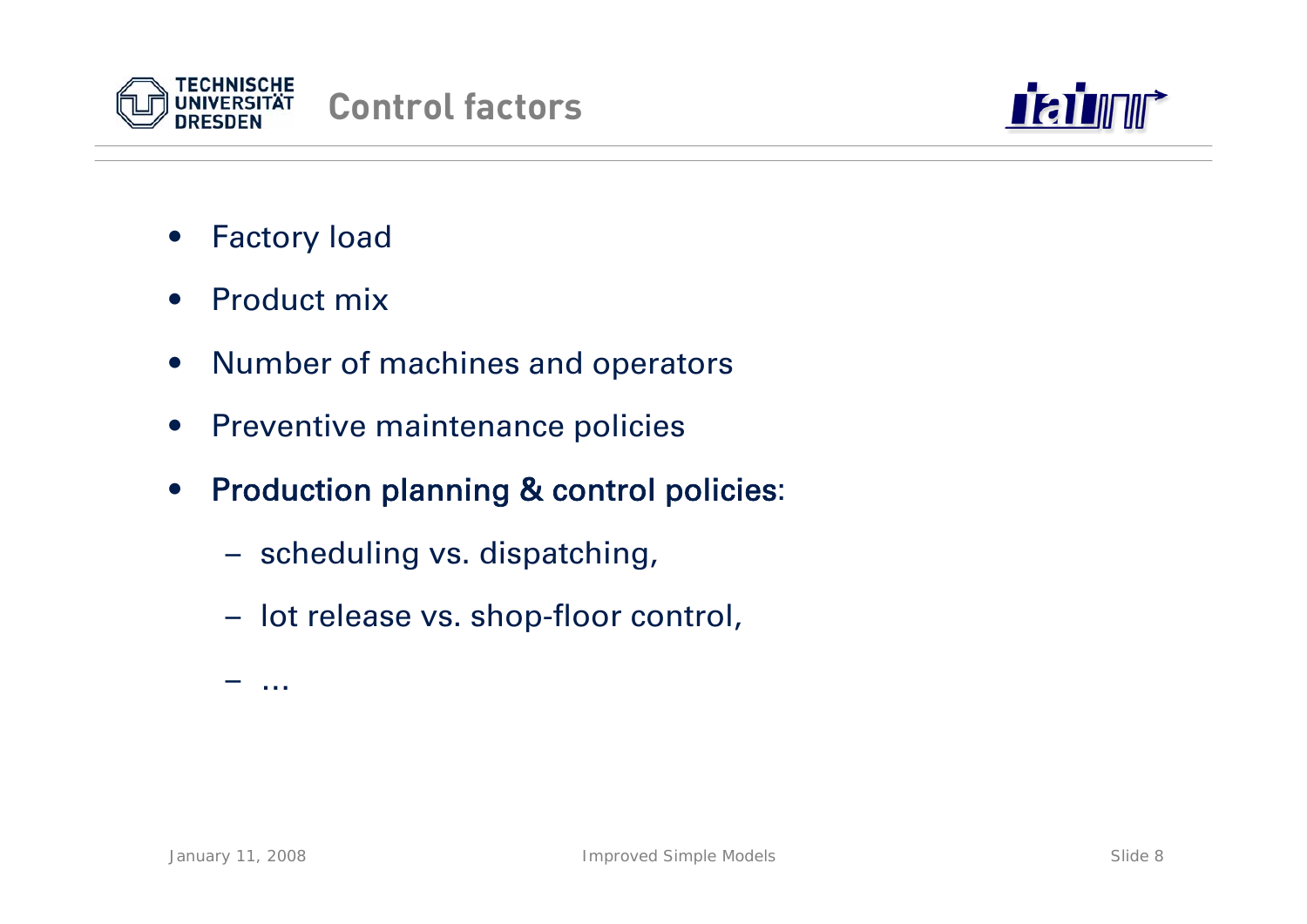



- •Factory load
- •Product mix
- $\bullet$ Number of machines and operators
- •Preventive maintenance policies
- $\bullet$  Production planning & control policies:
	- scheduling vs. dispatching,
	- lot release vs. shop-floor control,

…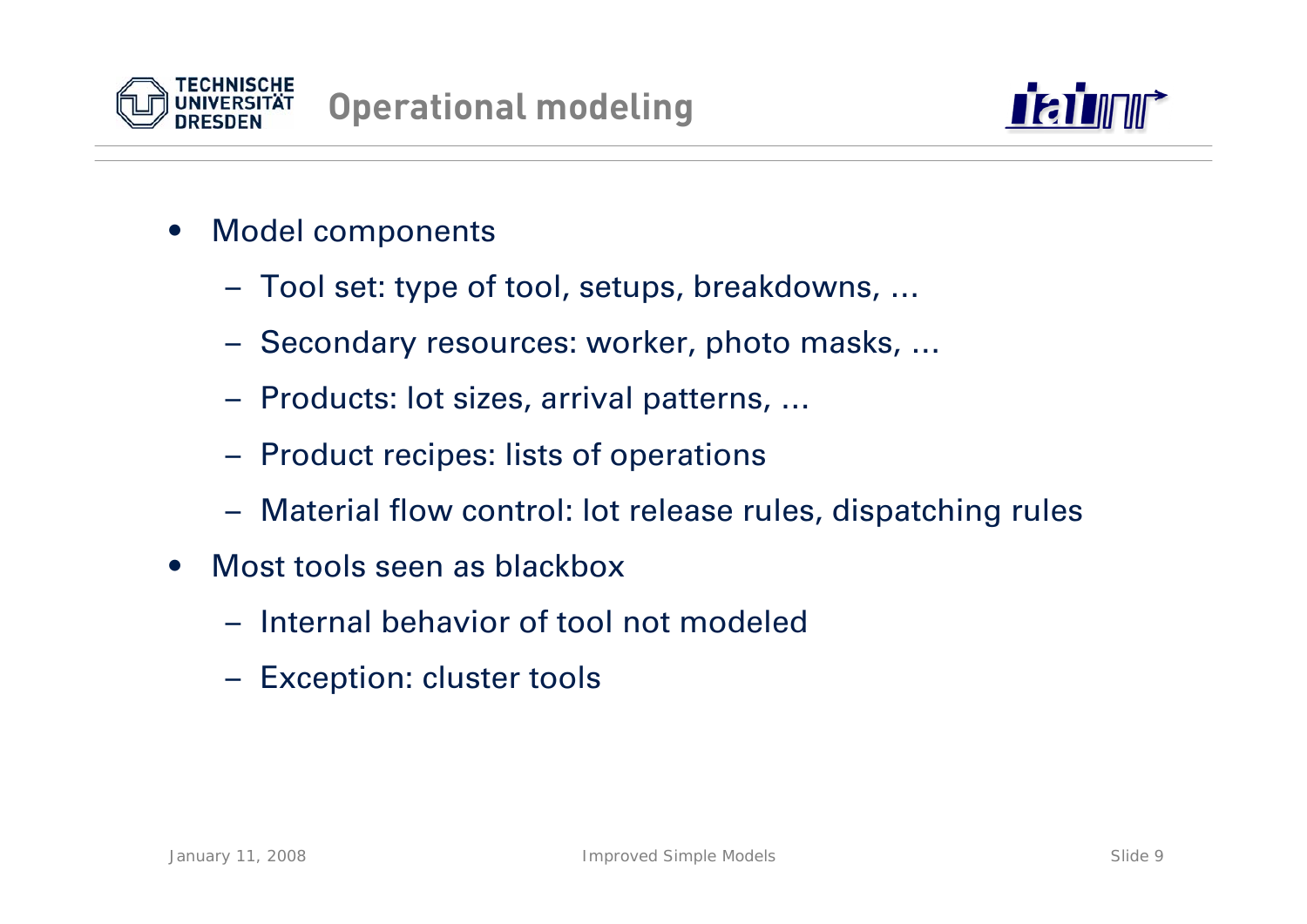



- $\bullet$  Model components
	- Tool set: type of tool, setups, breakdowns, …
	- Secondary resources: worker, photo masks, …
	- Products: lot sizes, arrival patterns, …
	- Product recipes: lists of operations
	- Material flow control: lot release rules, dispatching rules
- • Most tools seen as blackbox
	- Internal behavior of tool not modeled
	- Exception: cluster tools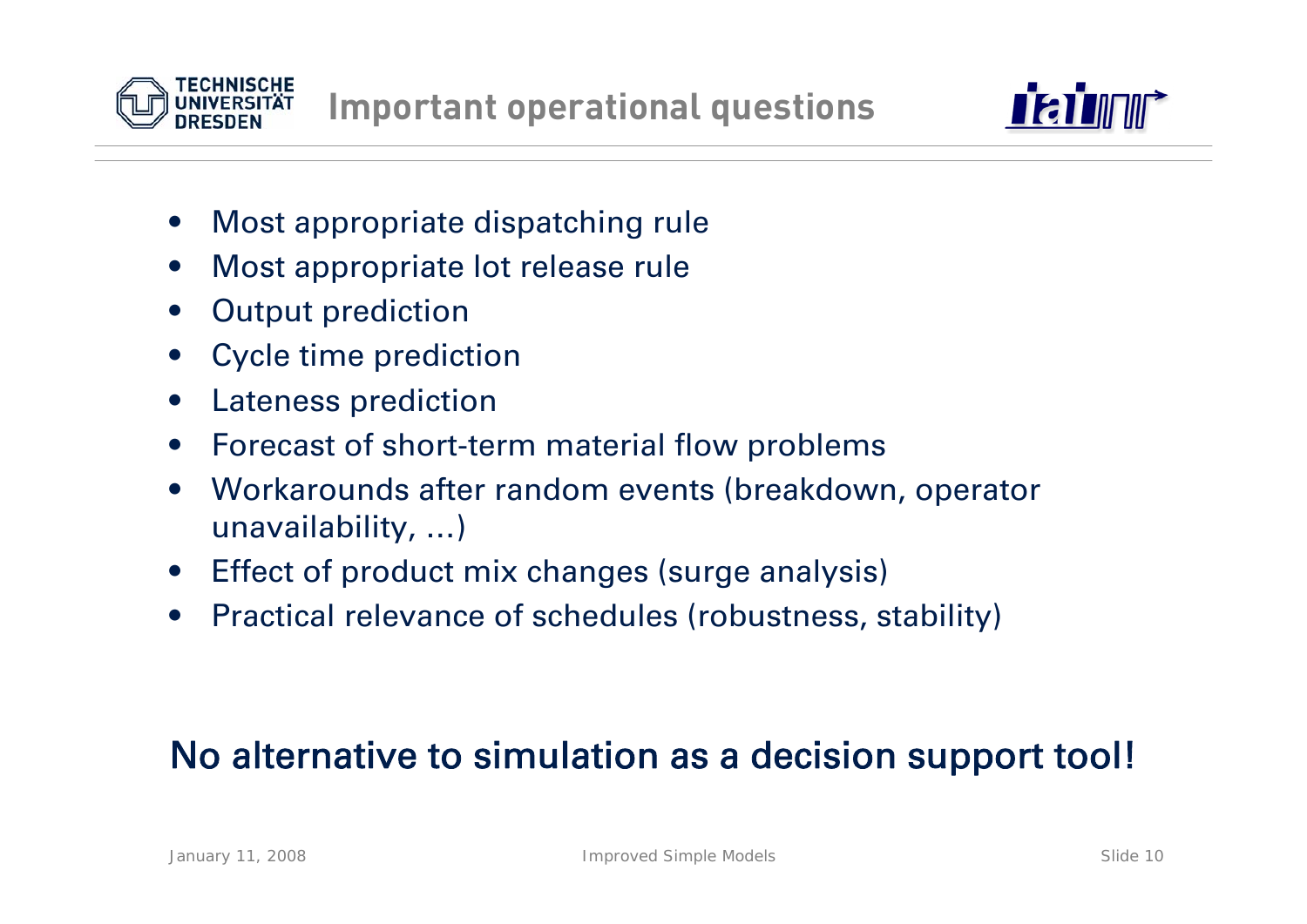



- •Most appropriate dispatching rule
- •Most appropriate lot release rule
- •Output prediction
- •Cycle time prediction
- •Lateness prediction
- $\bullet$ Forecast of short-term material flow problems
- • Workarounds after random events (breakdown, operator unavailability, …)
- •Effect of product mix changes (surge analysis)
- •Practical relevance of schedules (robustness, stability)

## No alternative to simulation as a decision support tool!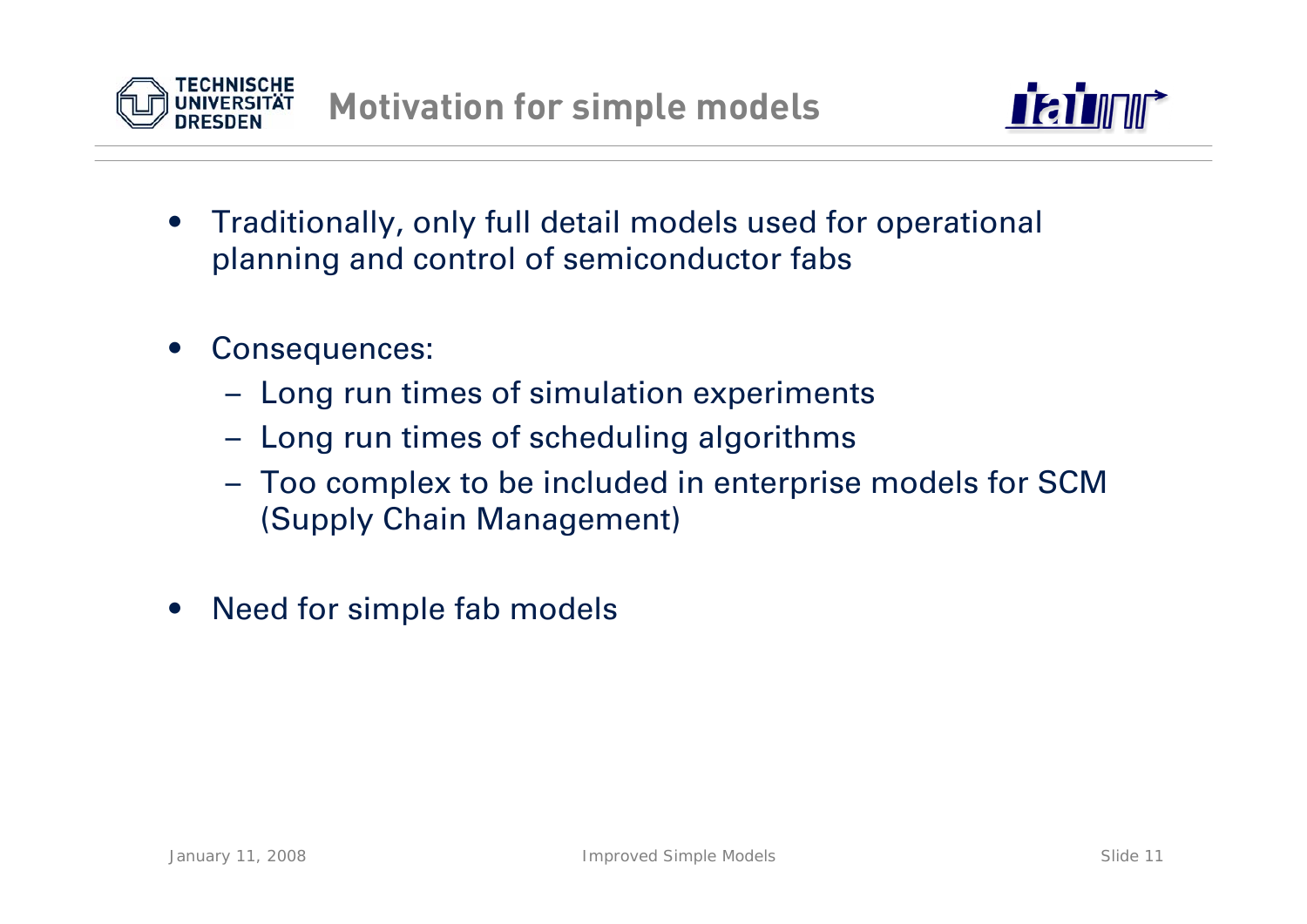



- • Traditionally, only full detail models used for operational planning and control of semiconductor fabs
- • Consequences:
	- Long run times of simulation experiments
	- Long run times of scheduling algorithms
	- Too complex to be included in enterprise models for SCM (Supply Chain Management)
- •Need for simple fab models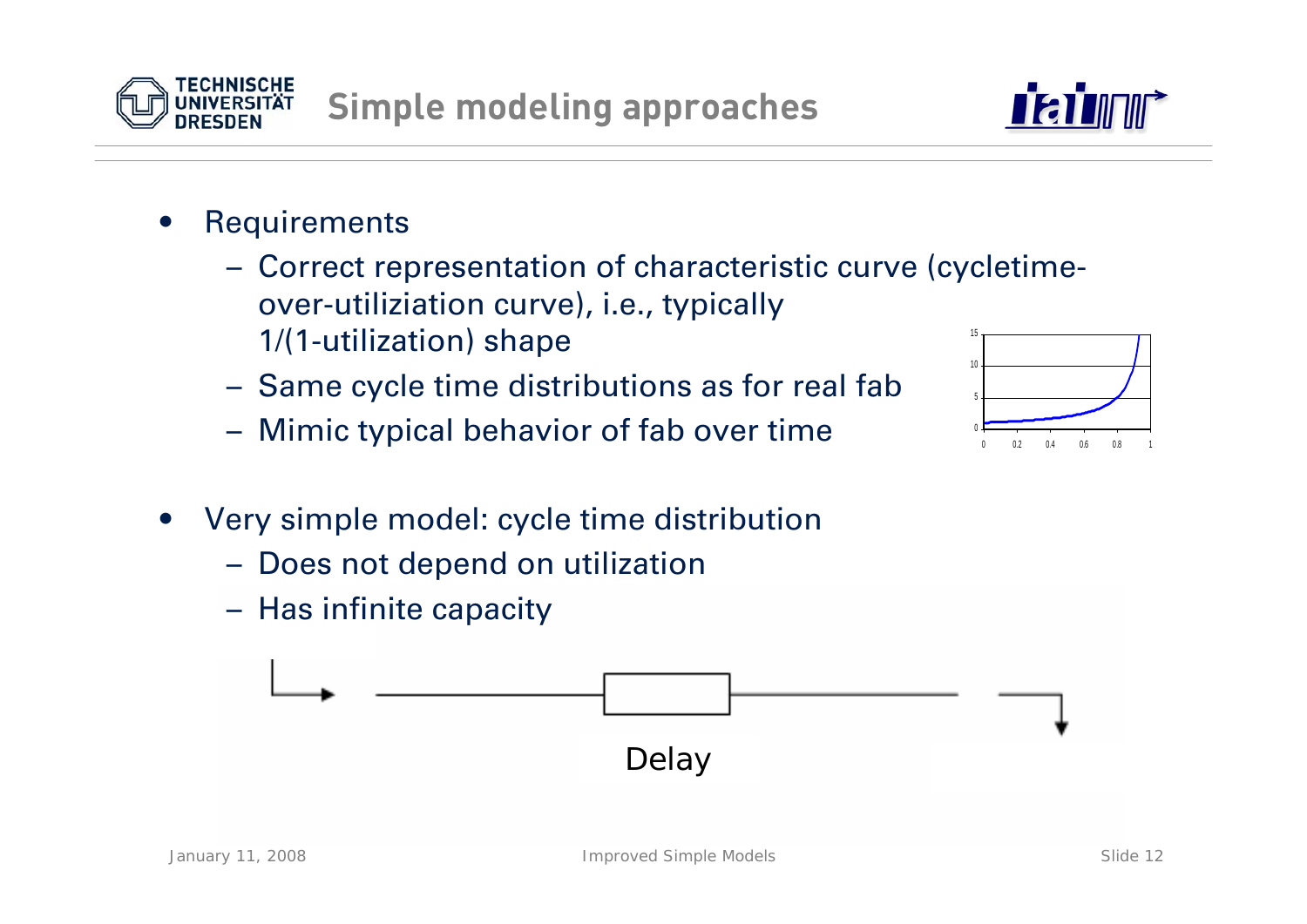#### •**Requirements**

- Correct representation of characteristic curve (cycletimeover-utiliziation curve), i.e., typically 1/(1-utilization) shape 15
- Same cycle time distributions as for real fab
- Mimic typical behavior of fab over time
- • Very simple model: cycle time distribution
	- Does not depend on utilization
	- Has infinite capacity







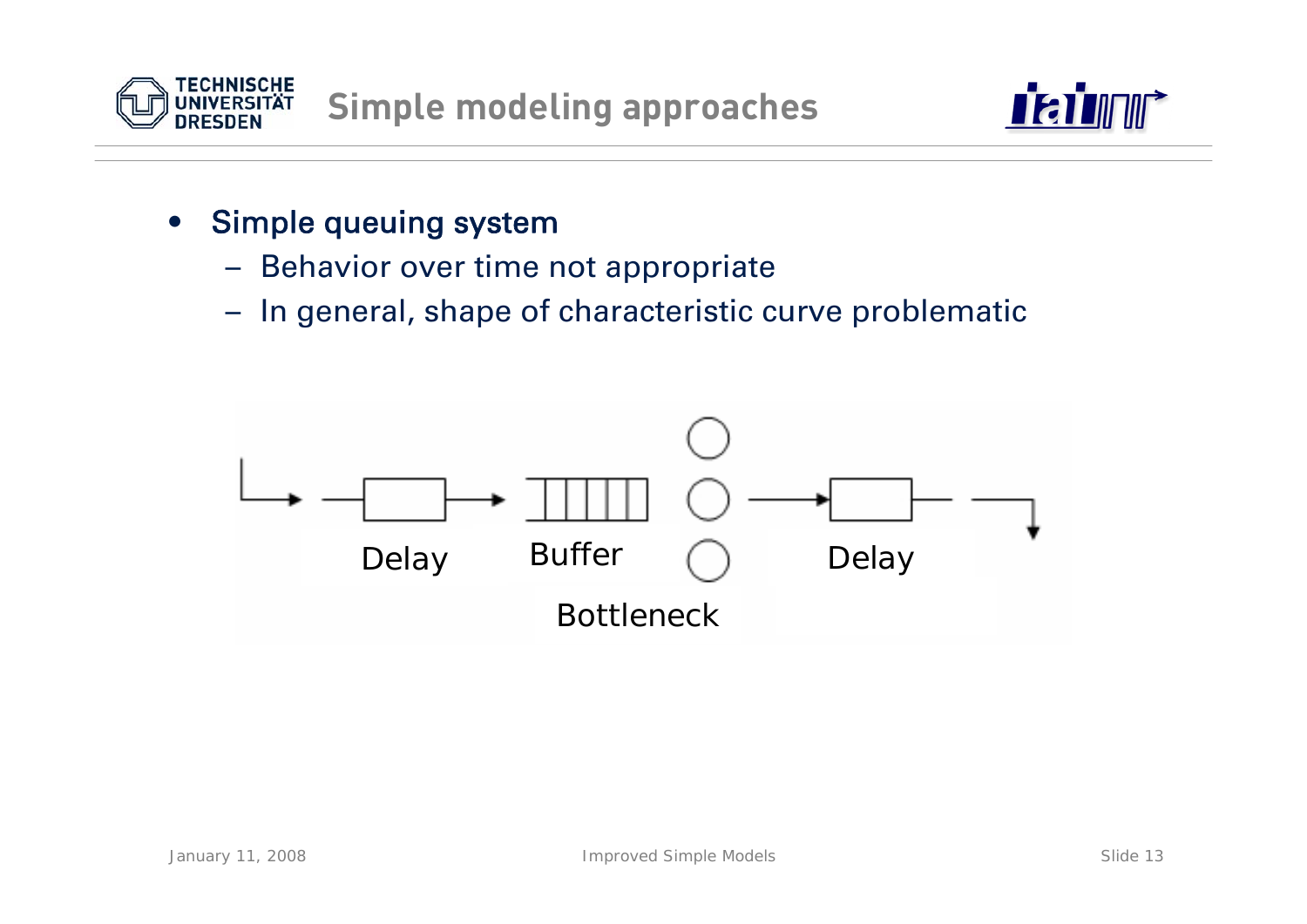



- $\bullet$  Simple queuing system
	- –Behavior over time not appropriate
	- –In general, shape of characteristic curve problematic

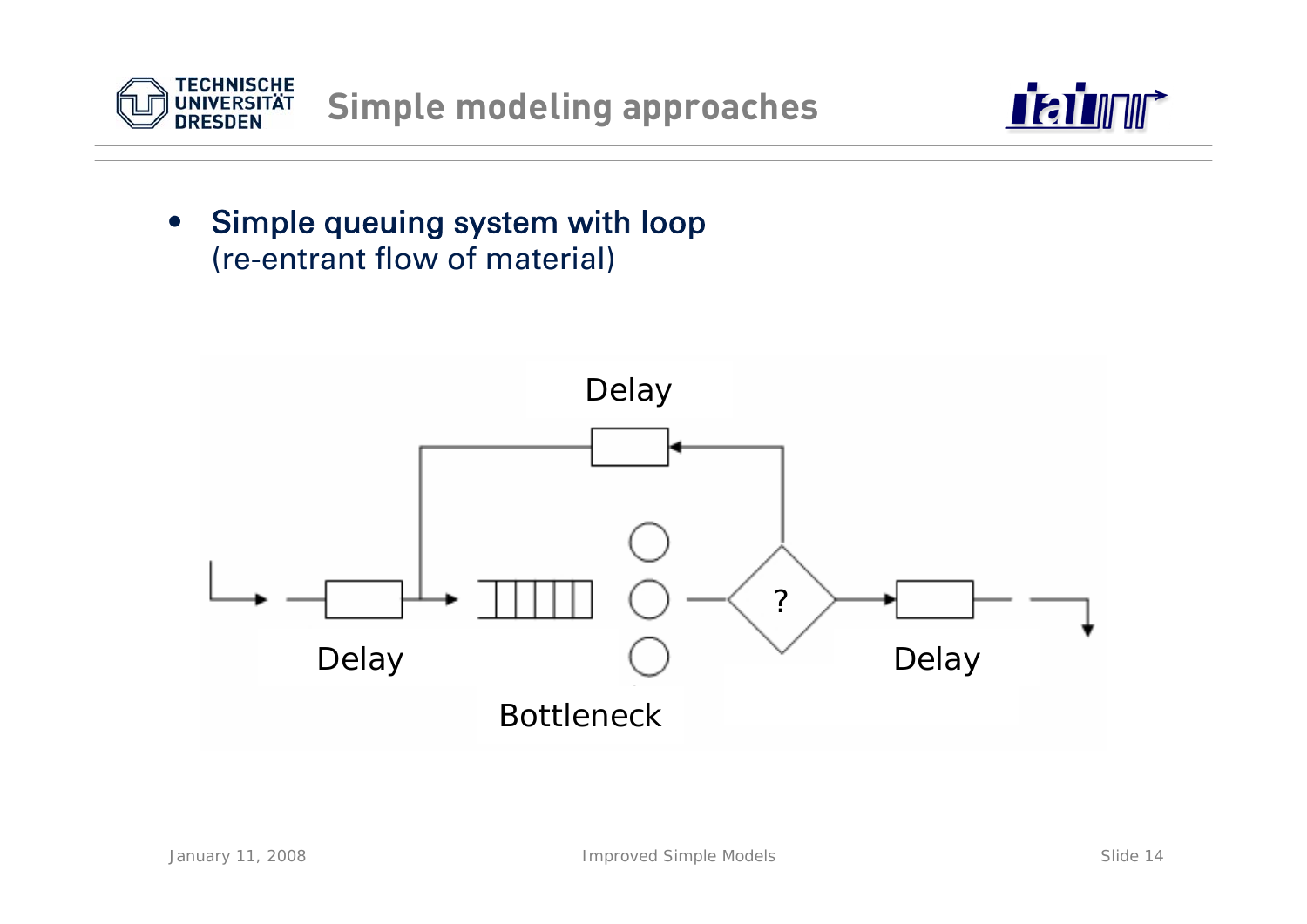



#### $\bullet$  Simple queuing system with loop (re-entrant flow of material)

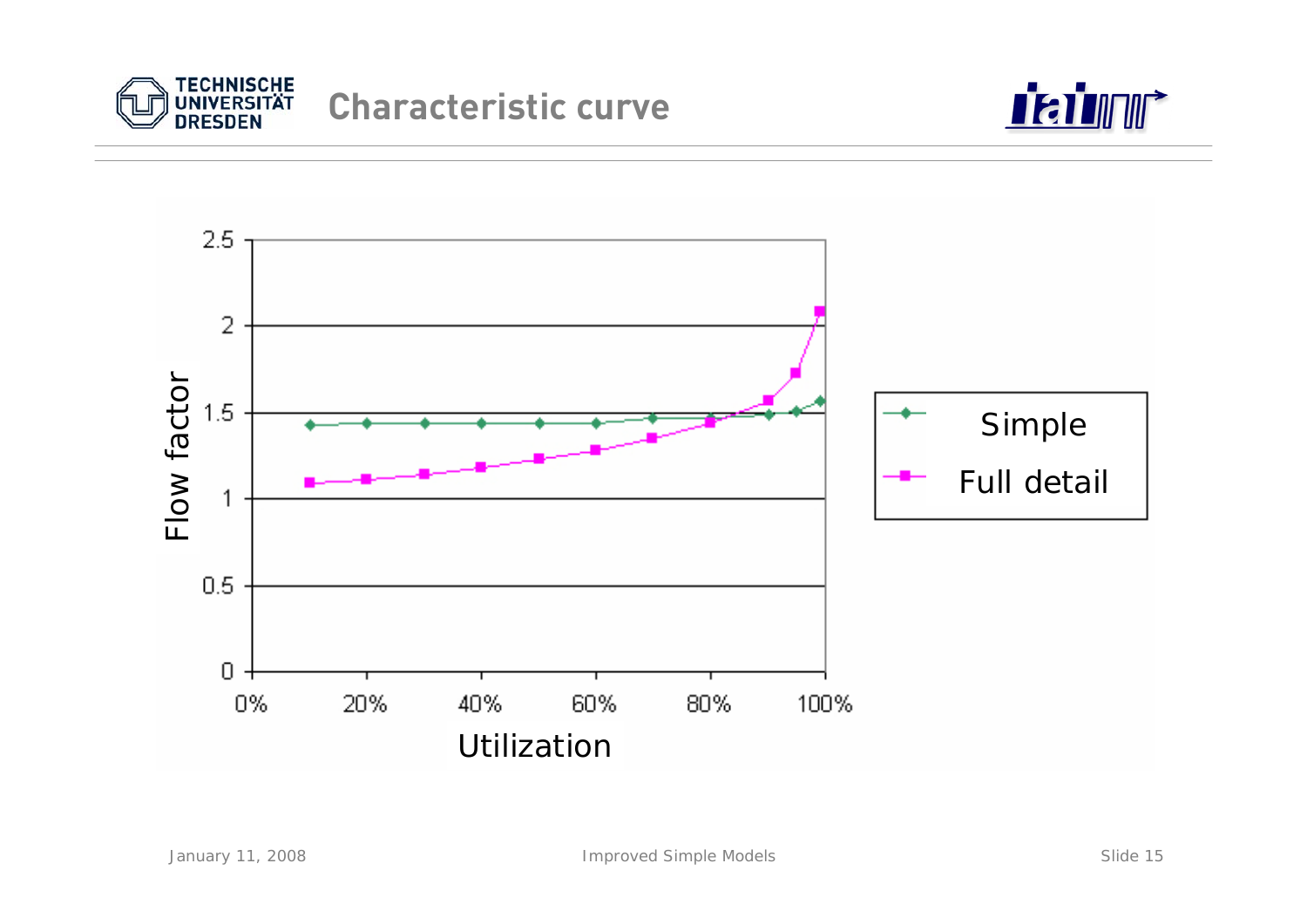



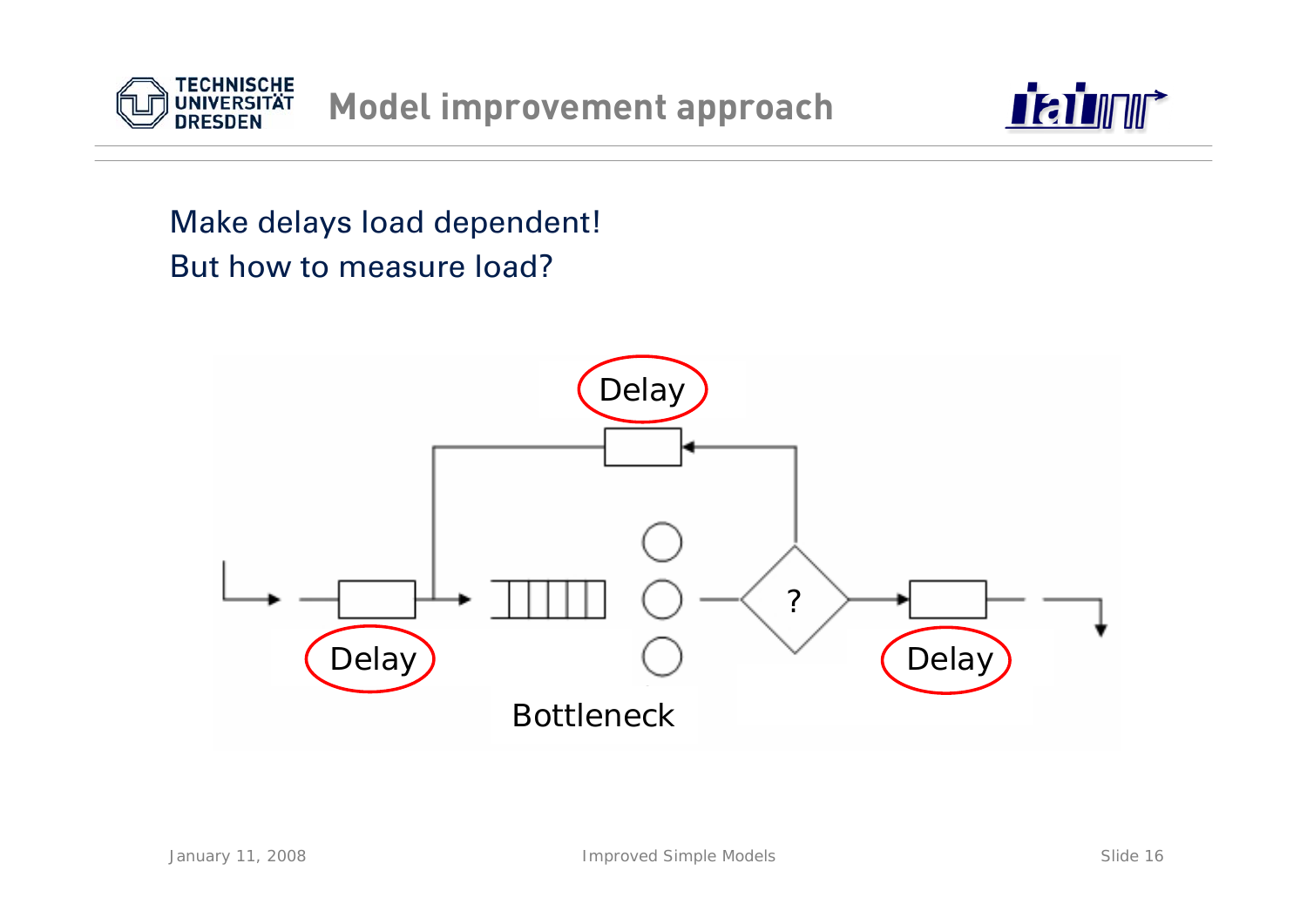



### Make delays load dependent! But how to measure load?

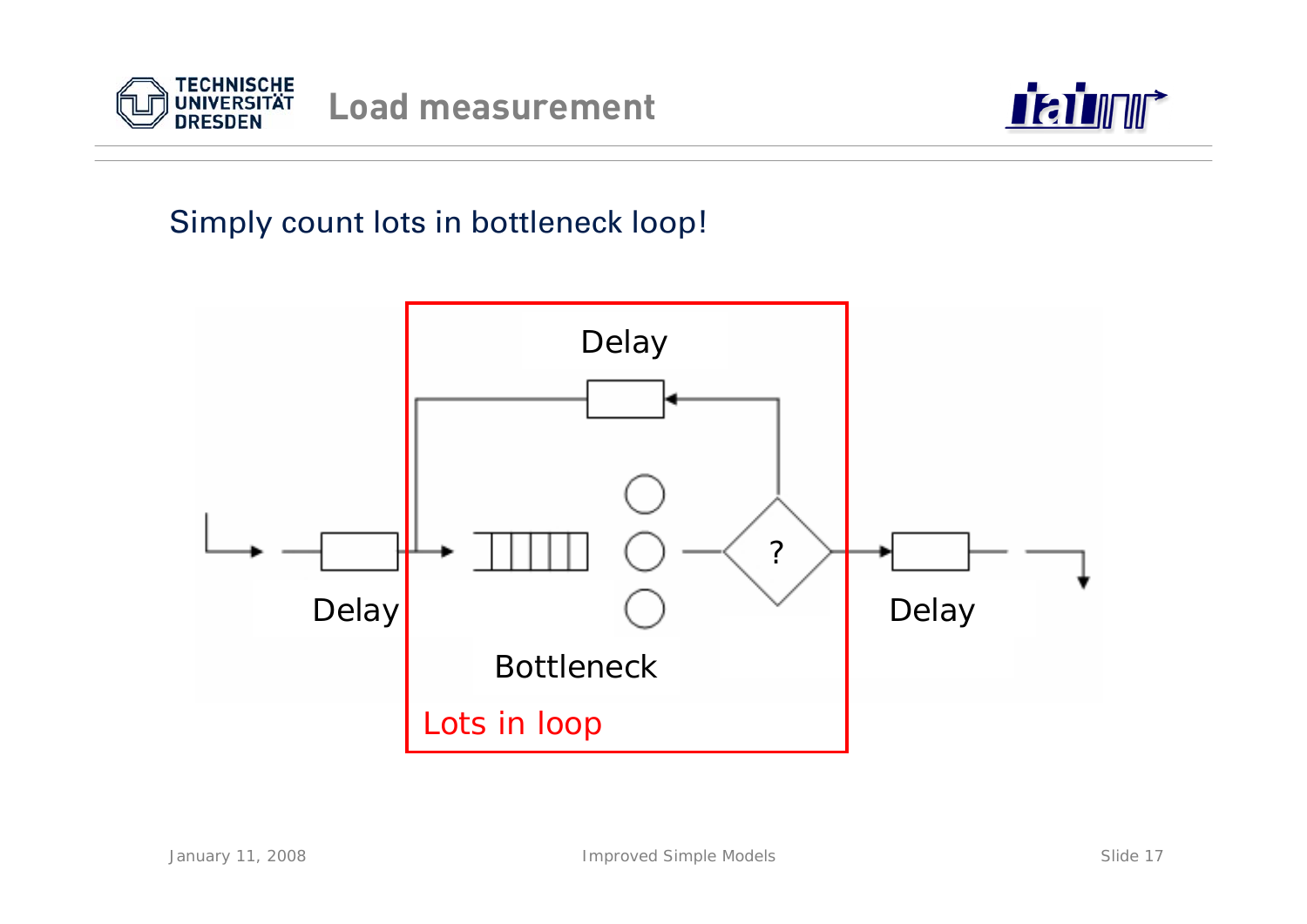



### Simply count lots in bottleneck loop!

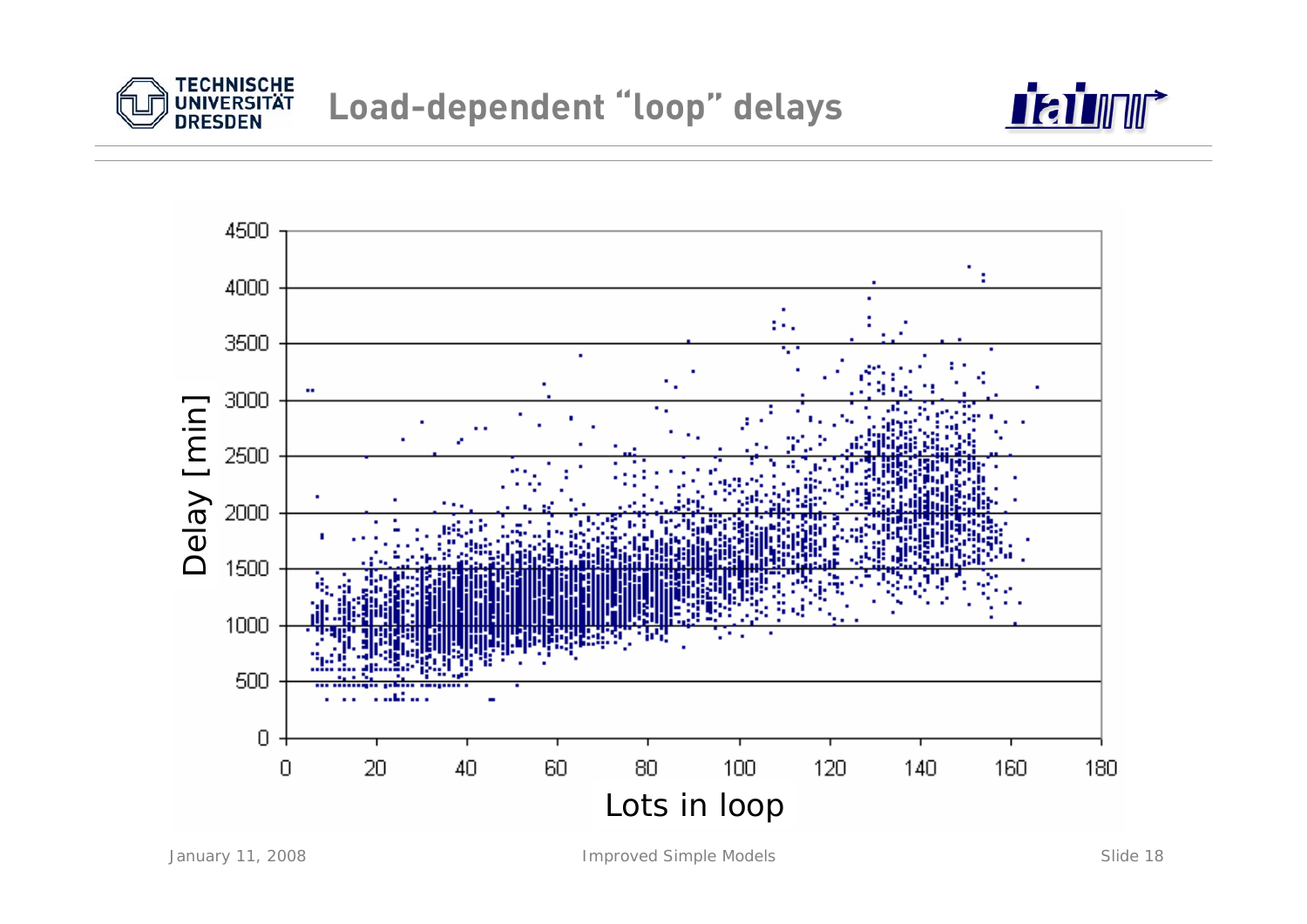



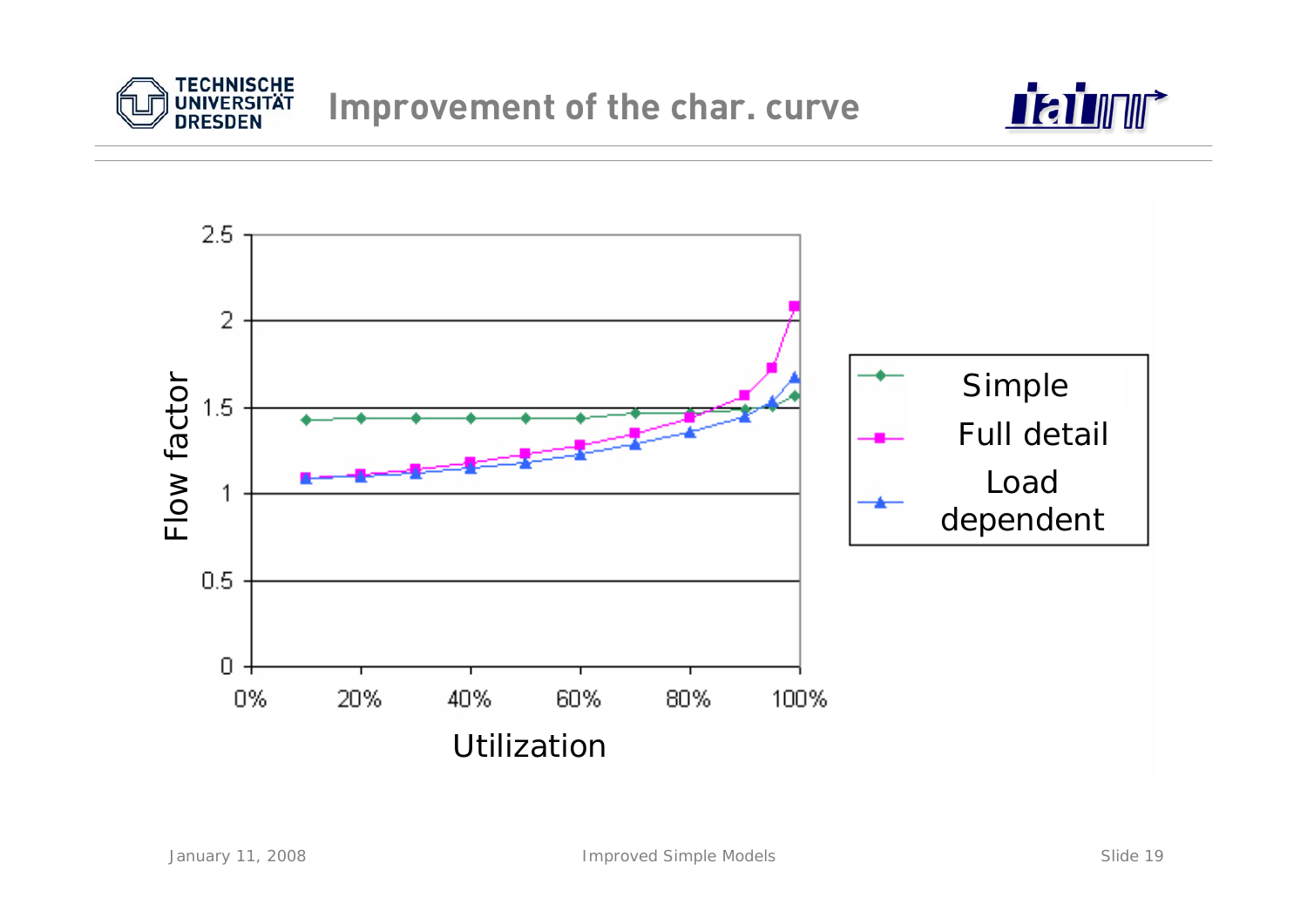



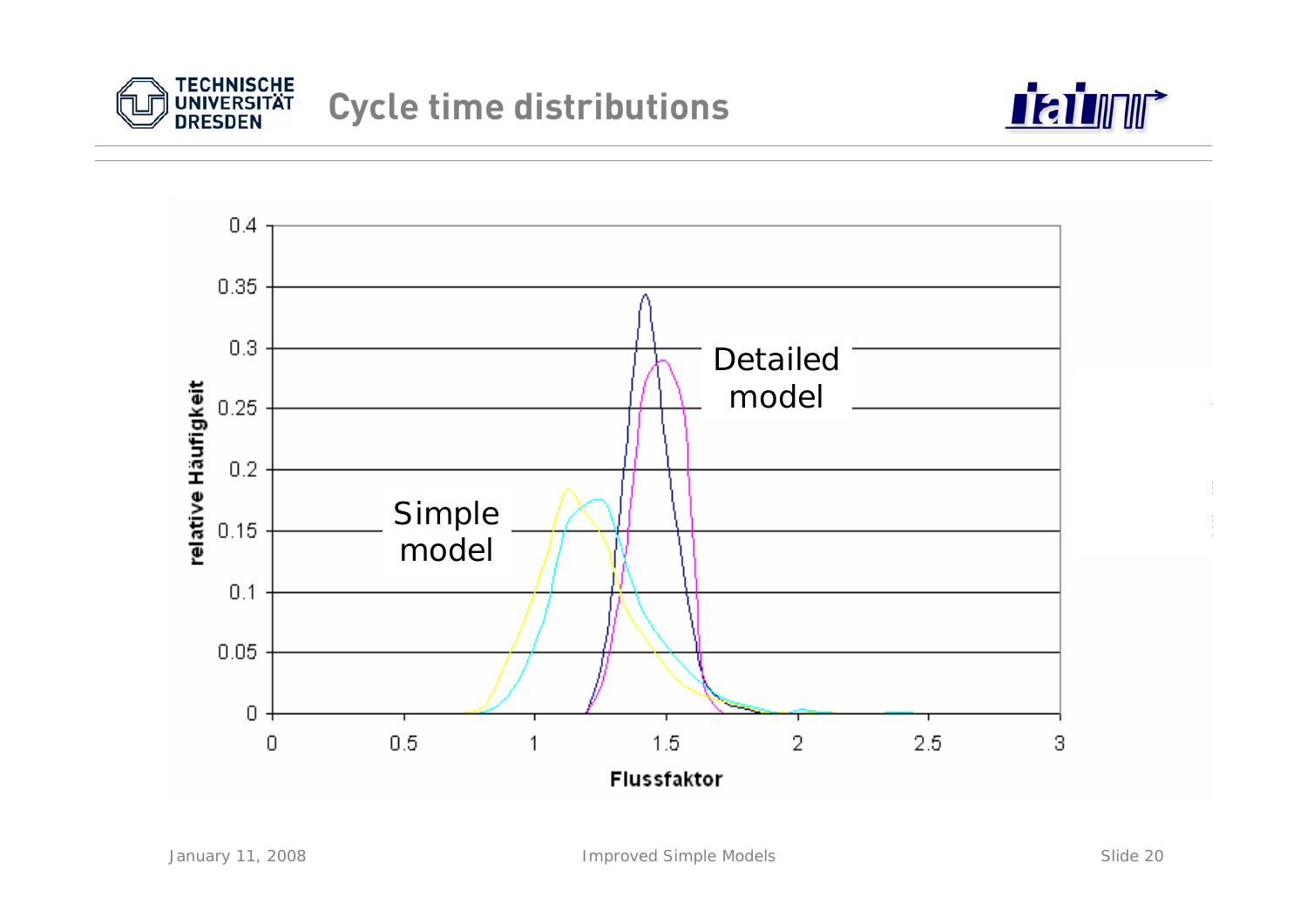



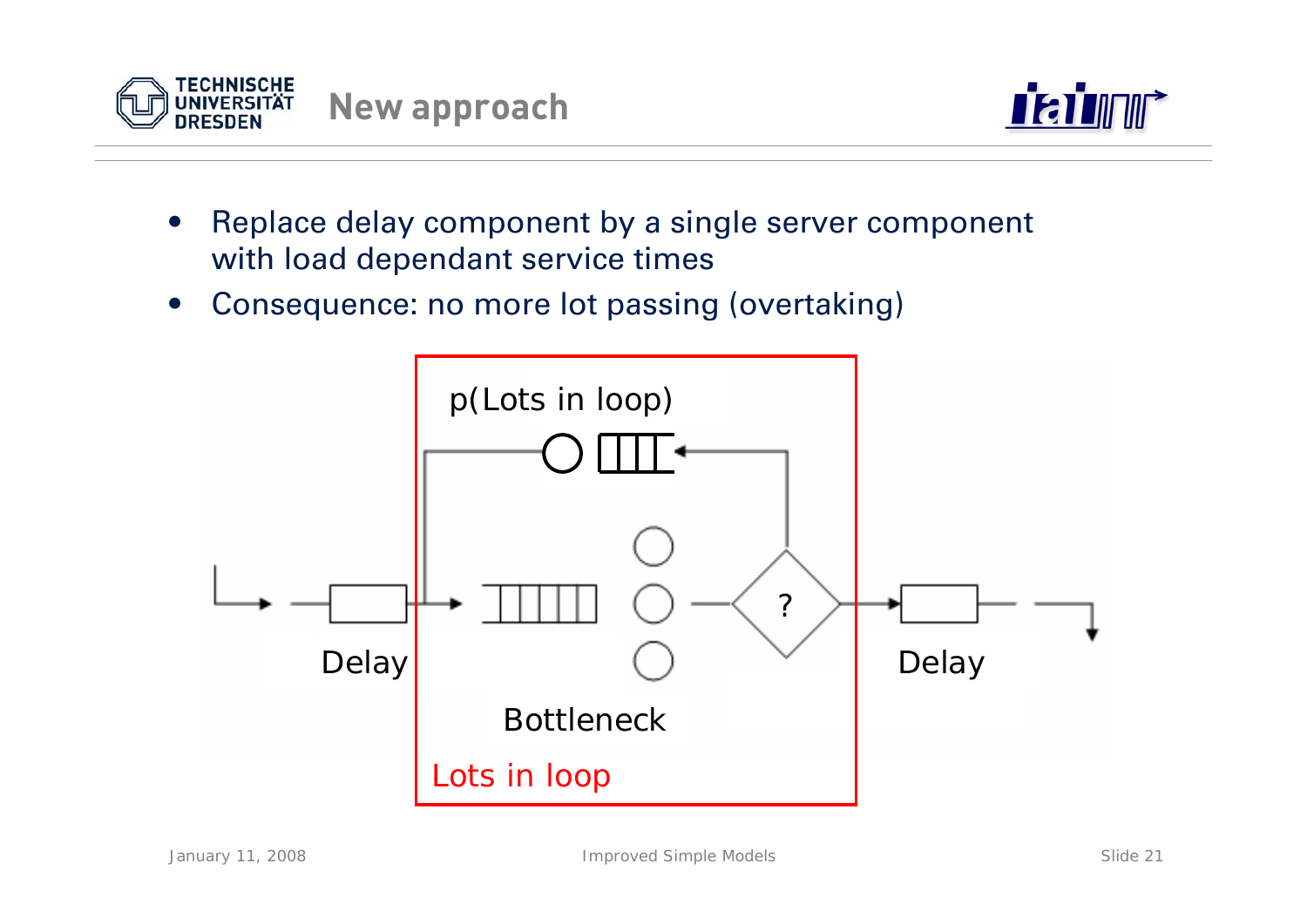



- • Replace delay component by a single server component with load dependant service times
- •Consequence: no more lot passing (overtaking)

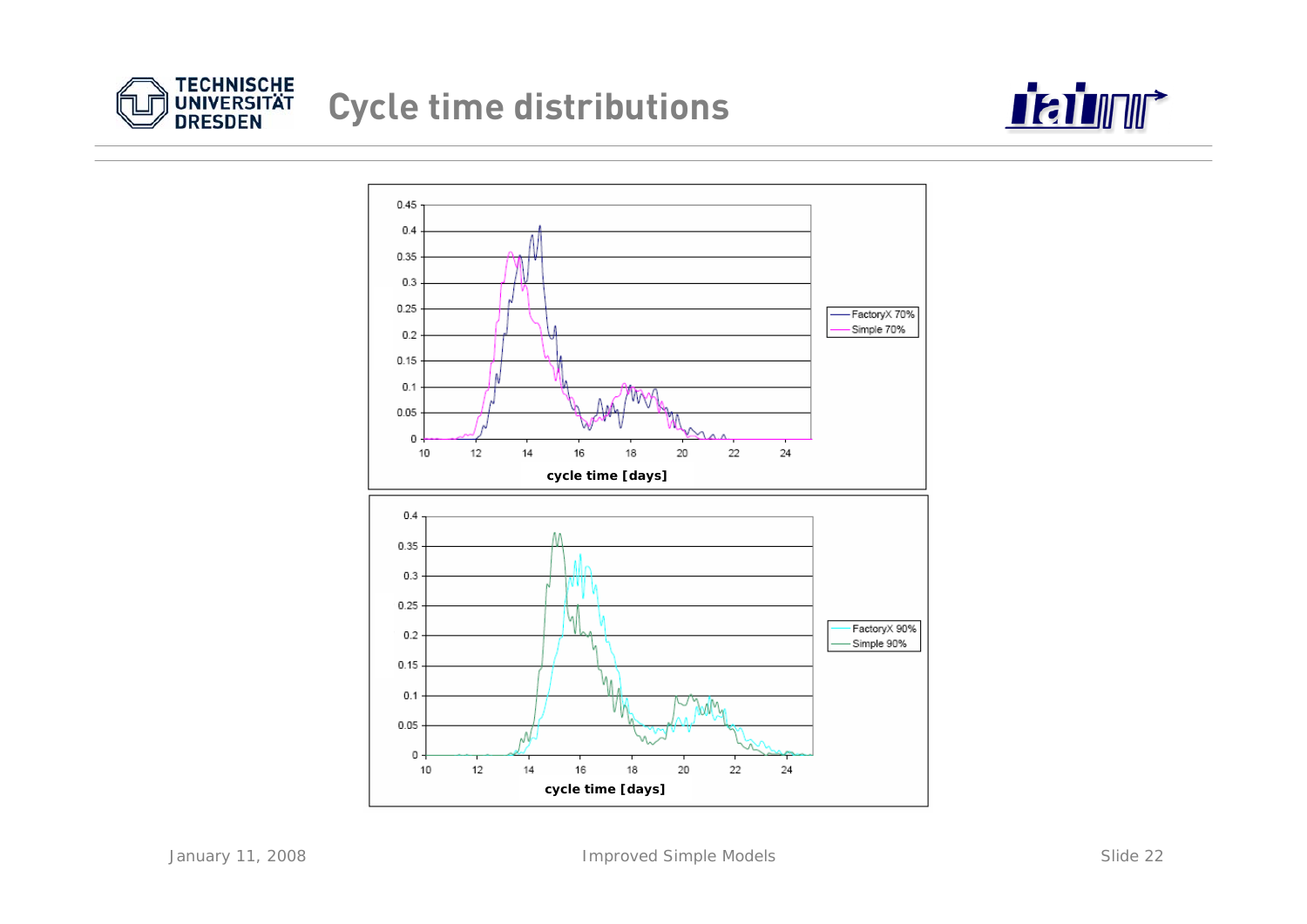

## **Cycle time distributions**



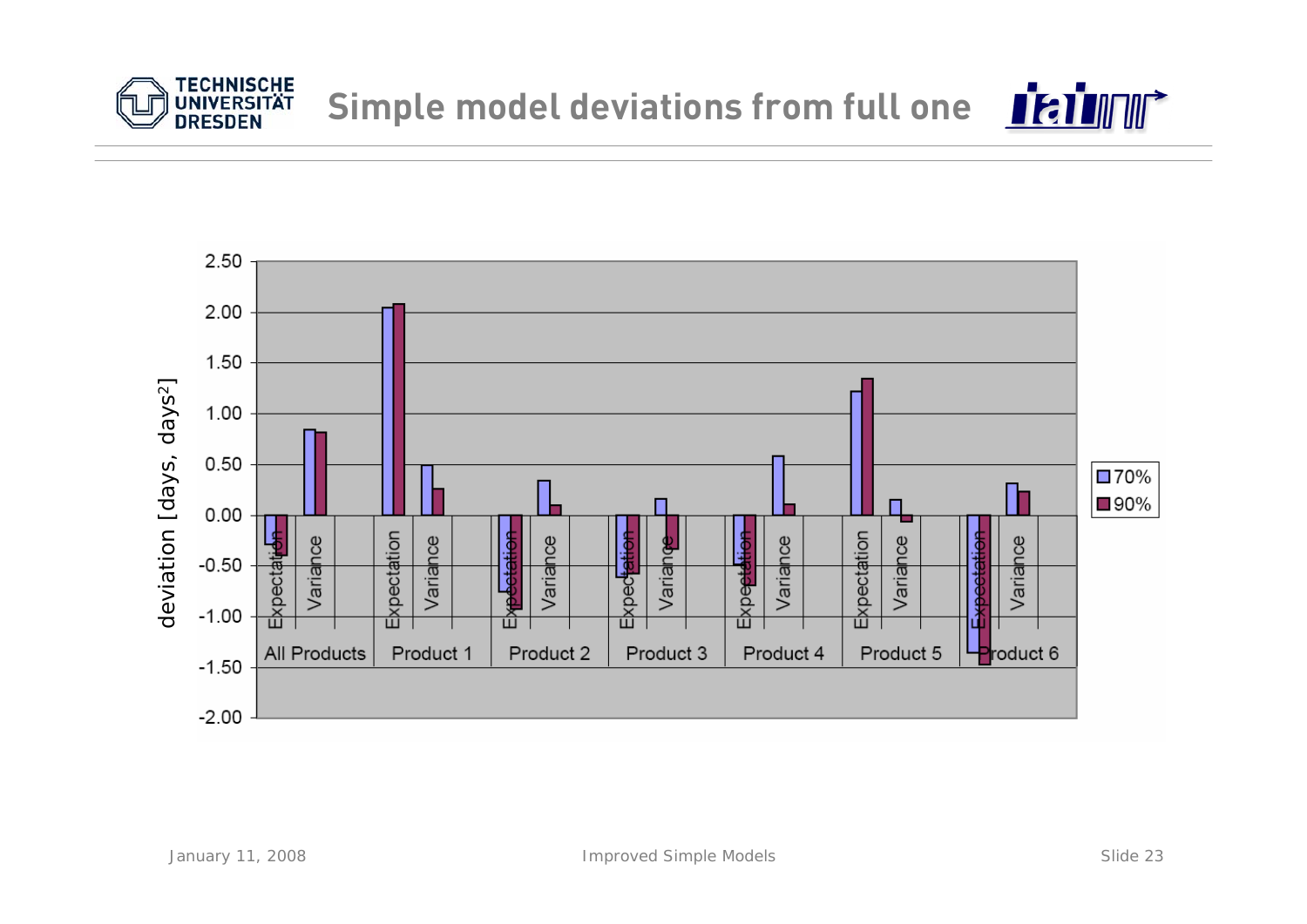

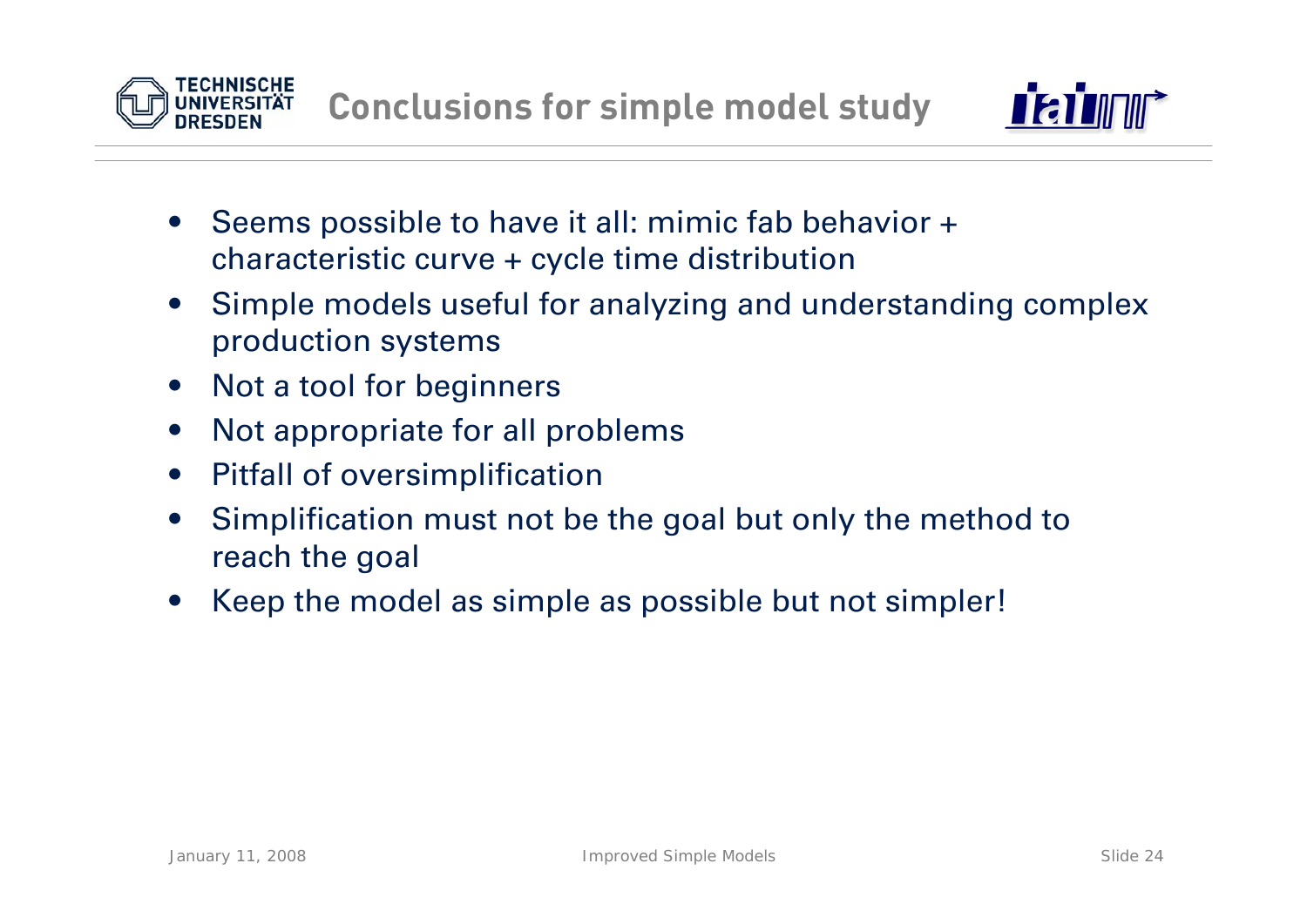



- • Seems possible to have it all: mimic fab behavior + characteristic curve + cycle time distribution
- • Simple models useful for analyzing and understanding complex production systems
- $\bullet$ Not a tool for beginners
- $\bullet$ Not appropriate for all problems
- $\bullet$ Pitfall of oversimplification
- $\bullet$  Simplification must not be the goal but only the method to reach the goal
- •Keep the model as simple as possible but not simpler!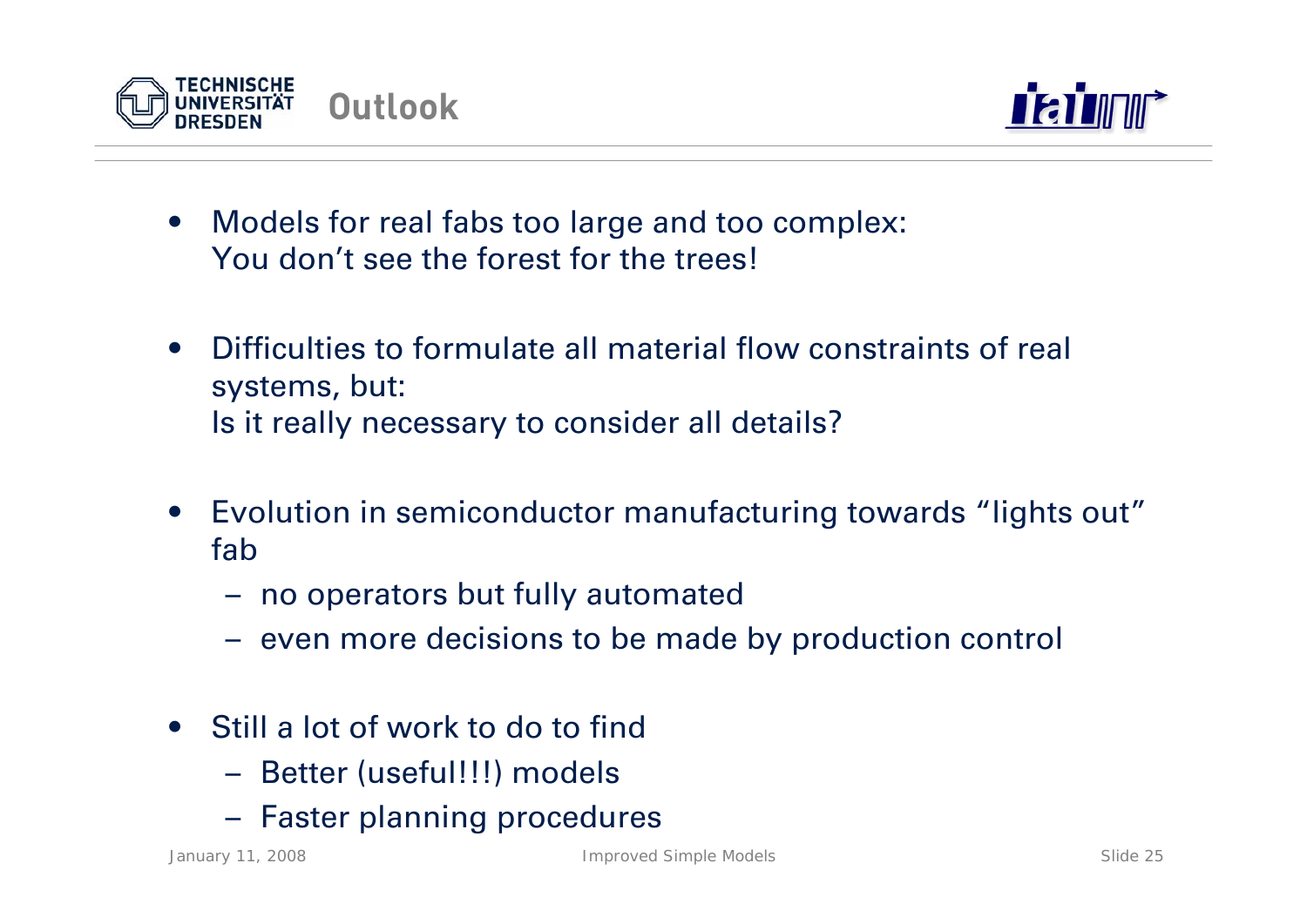



- • Models for real fabs too large and too complex: You don't see the forest for the trees!
- • Difficulties to formulate all material flow constraints of real systems, but: Is it really necessary to consider all details?
- • Evolution in semiconductor manufacturing towards "lights out" fab
	- no operators but fully automated
	- even more decisions to be made by production control
- • Still a lot of work to do to find
	- Better (useful!!!) models
	- Faster planning procedures